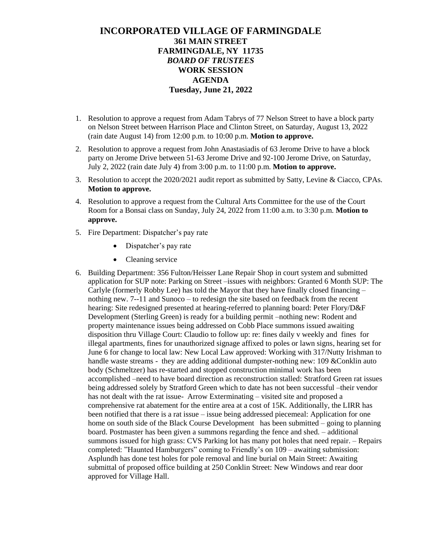## **INCORPORATED VILLAGE OF FARMINGDALE 361 MAIN STREET FARMINGDALE, NY 11735** *BOARD OF TRUSTEES* **WORK SESSION AGENDA Tuesday, June 21, 2022**

- 1. Resolution to approve a request from Adam Tabrys of 77 Nelson Street to have a block party on Nelson Street between Harrison Place and Clinton Street, on Saturday, August 13, 2022 (rain date August 14) from 12:00 p.m. to 10:00 p.m. **Motion to approve.**
- 2. Resolution to approve a request from John Anastasiadis of 63 Jerome Drive to have a block party on Jerome Drive between 51-63 Jerome Drive and 92-100 Jerome Drive, on Saturday, July 2, 2022 (rain date July 4) from 3:00 p.m. to 11:00 p.m. **Motion to approve.**
- 3. Resolution to accept the 2020/2021 audit report as submitted by Satty, Levine & Ciacco, CPAs. **Motion to approve.**
- 4. Resolution to approve a request from the Cultural Arts Committee for the use of the Court Room for a Bonsai class on Sunday, July 24, 2022 from 11:00 a.m. to 3:30 p.m. **Motion to approve.**
- 5. Fire Department: Dispatcher's pay rate
	- Dispatcher's pay rate
	- Cleaning service
- 6. Building Department: 356 Fulton/Heisser Lane Repair Shop in court system and submitted application for SUP note: Parking on Street –issues with neighbors: Granted 6 Month SUP: The Carlyle (formerly Robby Lee) has told the Mayor that they have finally closed financing – nothing new. 7--11 and Sunoco – to redesign the site based on feedback from the recent hearing: Site redesigned presented at hearing-referred to planning board: Peter Flory/D&F Development (Sterling Green) is ready for a building permit –nothing new: Rodent and property maintenance issues being addressed on Cobb Place summons issued awaiting disposition thru Village Court: Claudio to follow up: re: fines daily v weekly and fines for illegal apartments, fines for unauthorized signage affixed to poles or lawn signs, hearing set for June 6 for change to local law: New Local Law approved: Working with 317/Nutty Irishman to handle waste streams - they are adding additional dumpster-nothing new: 109 &Conklin auto body (Schmeltzer) has re-started and stopped construction minimal work has been accomplished –need to have board direction as reconstruction stalled: Stratford Green rat issues being addressed solely by Stratford Green which to date has not been successful –their vendor has not dealt with the rat issue- Arrow Exterminating – visited site and proposed a comprehensive rat abatement for the entire area at a cost of 15K. Additionally, the LIRR has been notified that there is a rat issue – issue being addressed piecemeal: Application for one home on south side of the Black Course Development has been submitted – going to planning board. Postmaster has been given a summons regarding the fence and shed. – additional summons issued for high grass: CVS Parking lot has many pot holes that need repair. – Repairs completed: "Haunted Hamburgers" coming to Friendly's on 109 – awaiting submission: Asplundh has done test holes for pole removal and line burial on Main Street: Awaiting submittal of proposed office building at 250 Conklin Street: New Windows and rear door approved for Village Hall.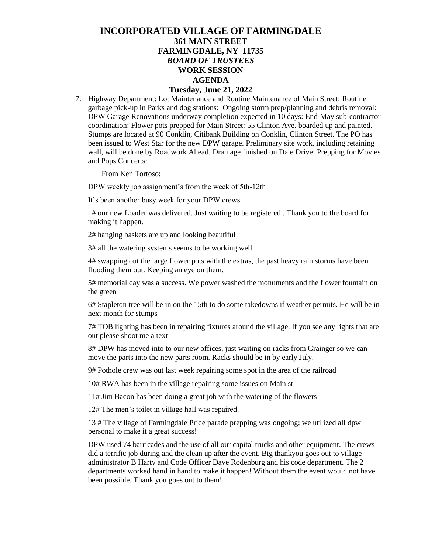## **INCORPORATED VILLAGE OF FARMINGDALE 361 MAIN STREET FARMINGDALE, NY 11735** *BOARD OF TRUSTEES* **WORK SESSION AGENDA Tuesday, June 21, 2022**

7. Highway Department: Lot Maintenance and Routine Maintenance of Main Street: Routine garbage pick-up in Parks and dog stations: Ongoing storm prep/planning and debris removal: DPW Garage Renovations underway completion expected in 10 days: End-May sub-contractor coordination: Flower pots prepped for Main Street: 55 Clinton Ave. boarded up and painted. Stumps are located at 90 Conklin, Citibank Building on Conklin, Clinton Street. The PO has been issued to West Star for the new DPW garage. Preliminary site work, including retaining wall, will be done by Roadwork Ahead. Drainage finished on Dale Drive: Prepping for Movies and Pops Concerts:

From Ken Tortoso:

DPW weekly job assignment's from the week of 5th-12th

It's been another busy week for your DPW crews.

1# our new Loader was delivered. Just waiting to be registered.. Thank you to the board for making it happen.

2# hanging baskets are up and looking beautiful

3# all the watering systems seems to be working well

4# swapping out the large flower pots with the extras, the past heavy rain storms have been flooding them out. Keeping an eye on them.

5# memorial day was a success. We power washed the monuments and the flower fountain on the green

6# Stapleton tree will be in on the 15th to do some takedowns if weather permits. He will be in next month for stumps

7# TOB lighting has been in repairing fixtures around the village. If you see any lights that are out please shoot me a text

8# DPW has moved into to our new offices, just waiting on racks from Grainger so we can move the parts into the new parts room. Racks should be in by early July.

9# Pothole crew was out last week repairing some spot in the area of the railroad

10# RWA has been in the village repairing some issues on Main st

11# Jim Bacon has been doing a great job with the watering of the flowers

12# The men's toilet in village hall was repaired.

13 # The village of Farmingdale Pride parade prepping was ongoing; we utilized all dpw personal to make it a great success!

DPW used 74 barricades and the use of all our capital trucks and other equipment. The crews did a terrific job during and the clean up after the event. Big thankyou goes out to village administrator B Harty and Code Officer Dave Rodenburg and his code department. The 2 departments worked hand in hand to make it happen! Without them the event would not have been possible. Thank you goes out to them!